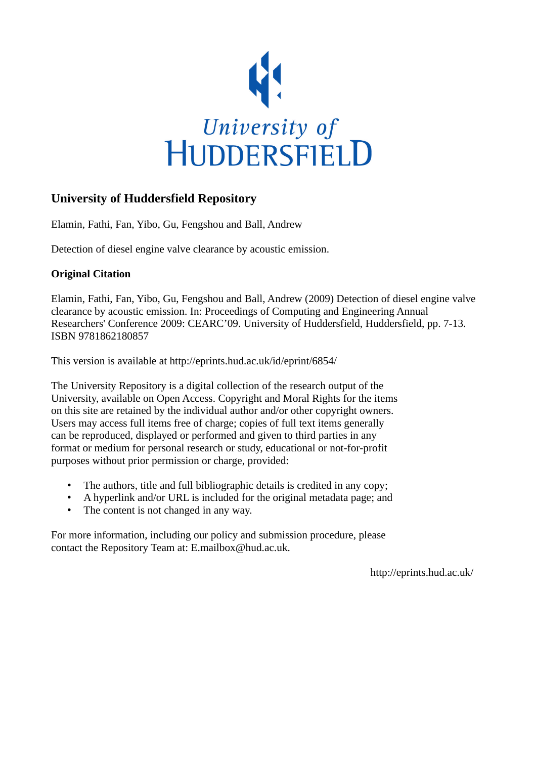

## **University of Huddersfield Repository**

Elamin, Fathi, Fan, Yibo, Gu, Fengshou and Ball, Andrew

Detection of diesel engine valve clearance by acoustic emission.

#### **Original Citation**

Elamin, Fathi, Fan, Yibo, Gu, Fengshou and Ball, Andrew (2009) Detection of diesel engine valve clearance by acoustic emission. In: Proceedings of Computing and Engineering Annual Researchers' Conference 2009: CEARC'09. University of Huddersfield, Huddersfield, pp. 7-13. ISBN 9781862180857

This version is available at http://eprints.hud.ac.uk/id/eprint/6854/

The University Repository is a digital collection of the research output of the University, available on Open Access. Copyright and Moral Rights for the items on this site are retained by the individual author and/or other copyright owners. Users may access full items free of charge; copies of full text items generally can be reproduced, displayed or performed and given to third parties in any format or medium for personal research or study, educational or not-for-profit purposes without prior permission or charge, provided:

- The authors, title and full bibliographic details is credited in any copy;
- A hyperlink and/or URL is included for the original metadata page; and
- The content is not changed in any way.

For more information, including our policy and submission procedure, please contact the Repository Team at: E.mailbox@hud.ac.uk.

http://eprints.hud.ac.uk/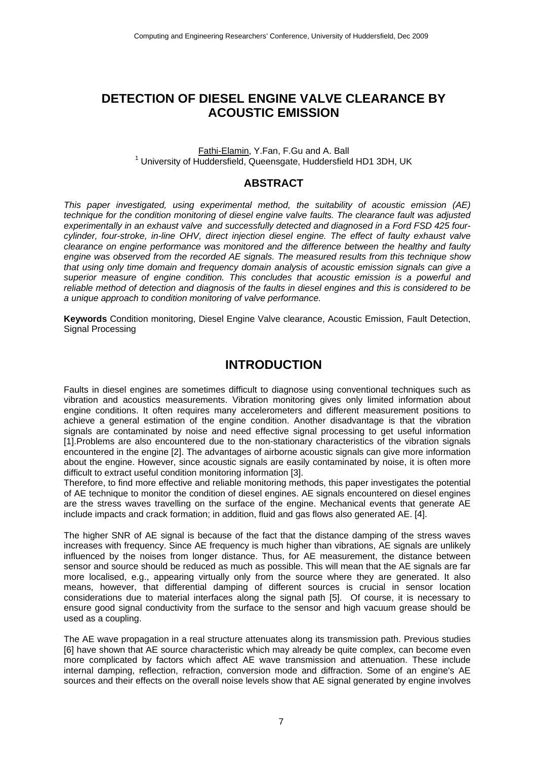## **DETECTION OF DIESEL ENGINE VALVE CLEARANCE BY ACOUSTIC EMISSION**

#### Fathi-Elamin, Y.Fan, F.Gu and A. Ball 1 University of Huddersfield, Queensgate, Huddersfield HD1 3DH, UK

#### **ABSTRACT**

*This paper investigated, using experimental method, the suitability of acoustic emission (AE) technique for the condition monitoring of diesel engine valve faults. The clearance fault was adjusted experimentally in an exhaust valve and successfully detected and diagnosed in a Ford FSD 425 fourcylinder, four-stroke, in-line OHV, direct injection diesel engine. The effect of faulty exhaust valve clearance on engine performance was monitored and the difference between the healthy and faulty engine was observed from the recorded AE signals. The measured results from this technique show that using only time domain and frequency domain analysis of acoustic emission signals can give a superior measure of engine condition. This concludes that acoustic emission is a powerful and reliable method of detection and diagnosis of the faults in diesel engines and this is considered to be a unique approach to condition monitoring of valve performance.* 

**Keywords** Condition monitoring, Diesel Engine Valve clearance, Acoustic Emission, Fault Detection, Signal Processing

#### **INTRODUCTION**

Faults in diesel engines are sometimes difficult to diagnose using conventional techniques such as vibration and acoustics measurements. Vibration monitoring gives only limited information about engine conditions. It often requires many accelerometers and different measurement positions to achieve a general estimation of the engine condition. Another disadvantage is that the vibration signals are contaminated by noise and need effective signal processing to get useful information [1].Problems are also encountered due to the non-stationary characteristics of the vibration signals encountered in the engine [2]. The advantages of airborne acoustic signals can give more information about the engine. However, since acoustic signals are easily contaminated by noise, it is often more difficult to extract useful condition monitoring information [3].

Therefore, to find more effective and reliable monitoring methods, this paper investigates the potential of AE technique to monitor the condition of diesel engines. AE signals encountered on diesel engines are the stress waves travelling on the surface of the engine. Mechanical events that generate AE include impacts and crack formation; in addition, fluid and gas flows also generated AE. [4].

The higher SNR of AE signal is because of the fact that the distance damping of the stress waves increases with frequency. Since AE frequency is much higher than vibrations, AE signals are unlikely influenced by the noises from longer distance. Thus, for AE measurement, the distance between sensor and source should be reduced as much as possible. This will mean that the AE signals are far more localised, e.g., appearing virtually only from the source where they are generated. It also means, however, that differential damping of different sources is crucial in sensor location considerations due to material interfaces along the signal path [5]. Of course, it is necessary to ensure good signal conductivity from the surface to the sensor and high vacuum grease should be used as a coupling.

The AE wave propagation in a real structure attenuates along its transmission path. Previous studies [6] have shown that AE source characteristic which may already be quite complex, can become even more complicated by factors which affect AE wave transmission and attenuation. These include internal damping, reflection, refraction, conversion mode and diffraction. Some of an engine's AE sources and their effects on the overall noise levels show that AE signal generated by engine involves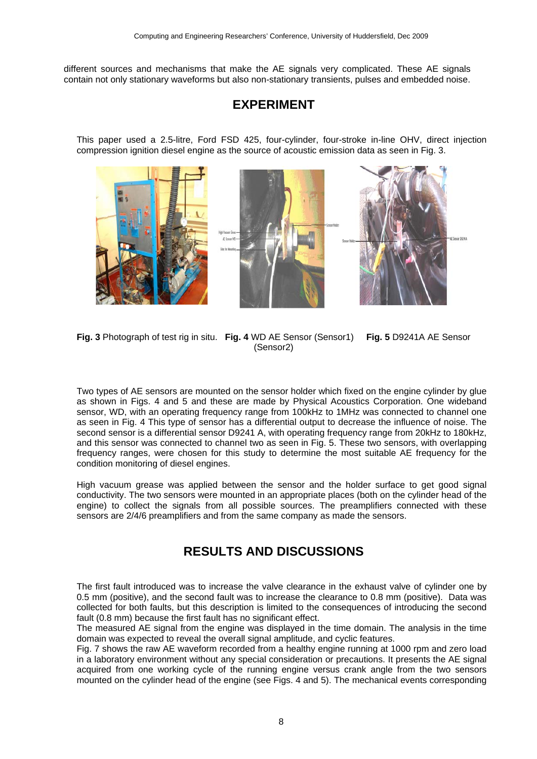different sources and mechanisms that make the AE signals very complicated. These AE signals contain not only stationary waveforms but also non-stationary transients, pulses and embedded noise.

## **EXPERIMENT**

This paper used a 2.5-litre, Ford FSD 425, four-cylinder, four-stroke in-line OHV, direct injection compression ignition diesel engine as the source of acoustic emission data as seen in Fig. 3.

I.

**Fig. 3** Photograph of test rig in situ. **Fig. 4** WD AE Sensor (Sensor1) **Fig. 5** D9241A AE Sensor (Sensor2)

Two types of AE sensors are mounted on the sensor holder which fixed on the engine cylinder by glue as shown in Figs. 4 and 5 and these are made by Physical Acoustics Corporation. One wideband sensor, WD, with an operating frequency range from 100kHz to 1MHz was connected to channel one as seen in Fig. 4 This type of sensor has a differential output to decrease the influence of noise. The second sensor is a differential sensor D9241 A, with operating frequency range from 20kHz to 180kHz, and this sensor was connected to channel two as seen in Fig. 5. These two sensors, with overlapping frequency ranges, were chosen for this study to determine the most suitable AE frequency for the condition monitoring of diesel engines.

High vacuum grease was applied between the sensor and the holder surface to get good signal conductivity. The two sensors were mounted in an appropriate places (both on the cylinder head of the engine) to collect the signals from all possible sources. The preamplifiers connected with these sensors are 2/4/6 preamplifiers and from the same company as made the sensors.

# **RESULTS AND DISCUSSIONS**

The first fault introduced was to increase the valve clearance in the exhaust valve of cylinder one by 0.5 mm (positive), and the second fault was to increase the clearance to 0.8 mm (positive). Data was collected for both faults, but this description is limited to the consequences of introducing the second fault (0.8 mm) because the first fault has no significant effect.

The measured AE signal from the engine was displayed in the time domain. The analysis in the time domain was expected to reveal the overall signal amplitude, and cyclic features.

Fig. 7 shows the raw AE waveform recorded from a healthy engine running at 1000 rpm and zero load in a laboratory environment without any special consideration or precautions. It presents the AE signal acquired from one working cycle of the running engine versus crank angle from the two sensors mounted on the cylinder head of the engine (see Figs. 4 and 5). The mechanical events corresponding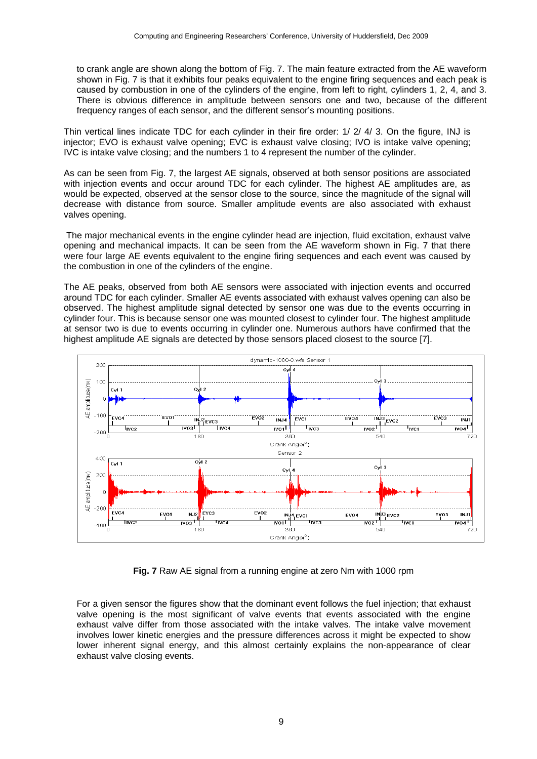to crank angle are shown along the bottom of Fig. 7. The main feature extracted from the AE waveform shown in Fig. 7 is that it exhibits four peaks equivalent to the engine firing sequences and each peak is caused by combustion in one of the cylinders of the engine, from left to right, cylinders 1, 2, 4, and 3. There is obvious difference in amplitude between sensors one and two, because of the different frequency ranges of each sensor, and the different sensor's mounting positions.

Thin vertical lines indicate TDC for each cylinder in their fire order: 1/ 2/ 4/ 3. On the figure, INJ is injector; EVO is exhaust valve opening; EVC is exhaust valve closing; IVO is intake valve opening; IVC is intake valve closing; and the numbers 1 to 4 represent the number of the cylinder.

As can be seen from Fig. 7, the largest AE signals, observed at both sensor positions are associated with injection events and occur around TDC for each cylinder. The highest AE amplitudes are, as would be expected, observed at the sensor close to the source, since the magnitude of the signal will decrease with distance from source. Smaller amplitude events are also associated with exhaust valves opening.

 The major mechanical events in the engine cylinder head are injection, fluid excitation, exhaust valve opening and mechanical impacts. It can be seen from the AE waveform shown in Fig. 7 that there were four large AE events equivalent to the engine firing sequences and each event was caused by the combustion in one of the cylinders of the engine.

The AE peaks, observed from both AE sensors were associated with injection events and occurred around TDC for each cylinder. Smaller AE events associated with exhaust valves opening can also be observed. The highest amplitude signal detected by sensor one was due to the events occurring in cylinder four. This is because sensor one was mounted closest to cylinder four. The highest amplitude at sensor two is due to events occurring in cylinder one. Numerous authors have confirmed that the highest amplitude AE signals are detected by those sensors placed closest to the source [7].



**Fig. 7** Raw AE signal from a running engine at zero Nm with 1000 rpm

For a given sensor the figures show that the dominant event follows the fuel injection; that exhaust valve opening is the most significant of valve events that events associated with the engine exhaust valve differ from those associated with the intake valves. The intake valve movement involves lower kinetic energies and the pressure differences across it might be expected to show lower inherent signal energy, and this almost certainly explains the non-appearance of clear exhaust valve closing events.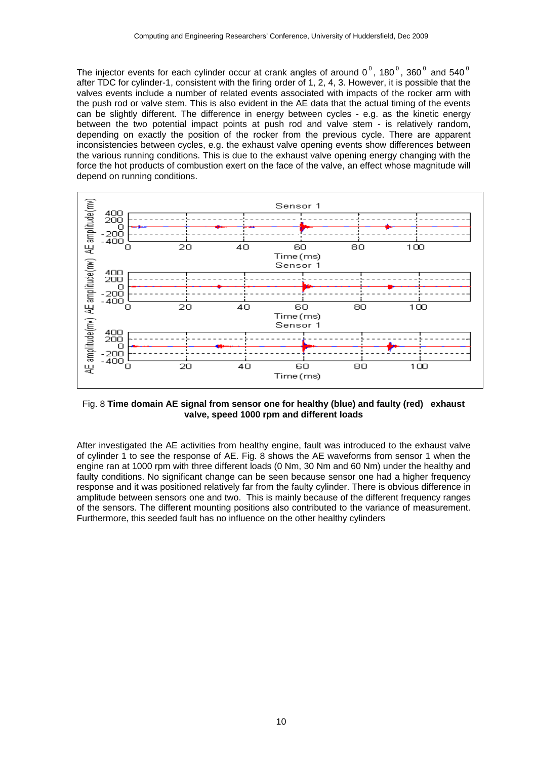The injector events for each cylinder occur at crank angles of around 0<sup>0</sup>, 180<sup>0</sup>, 360<sup>0</sup> and 540<sup>0</sup> after TDC for cylinder-1, consistent with the firing order of 1, 2, 4, 3. However, it is possible that the valves events include a number of related events associated with impacts of the rocker arm with the push rod or valve stem. This is also evident in the AE data that the actual timing of the events can be slightly different. The difference in energy between cycles - e.g. as the kinetic energy between the two potential impact points at push rod and valve stem - is relatively random, depending on exactly the position of the rocker from the previous cycle. There are apparent inconsistencies between cycles, e.g. the exhaust valve opening events show differences between the various running conditions. This is due to the exhaust valve opening energy changing with the force the hot products of combustion exert on the face of the valve, an effect whose magnitude will depend on running conditions.



Fig. 8 **Time domain AE signal from sensor one for healthy (blue) and faulty (red) exhaust valve, speed 1000 rpm and different loads** 

After investigated the AE activities from healthy engine, fault was introduced to the exhaust valve of cylinder 1 to see the response of AE. Fig. 8 shows the AE waveforms from sensor 1 when the engine ran at 1000 rpm with three different loads (0 Nm, 30 Nm and 60 Nm) under the healthy and faulty conditions. No significant change can be seen because sensor one had a higher frequency response and it was positioned relatively far from the faulty cylinder. There is obvious difference in amplitude between sensors one and two. This is mainly because of the different frequency ranges of the sensors. The different mounting positions also contributed to the variance of measurement. Furthermore, this seeded fault has no influence on the other healthy cylinders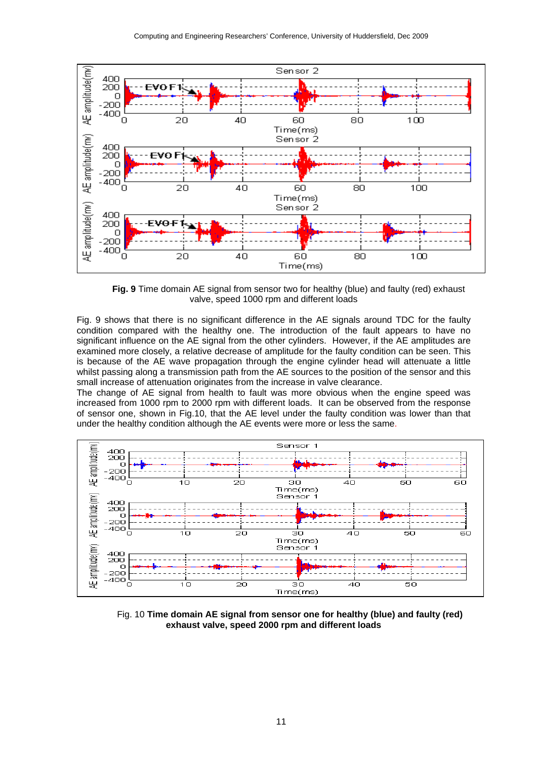

 **Fig. 9** Time domain AE signal from sensor two for healthy (blue) and faulty (red) exhaust valve, speed 1000 rpm and different loads

Fig. 9 shows that there is no significant difference in the AE signals around TDC for the faulty condition compared with the healthy one. The introduction of the fault appears to have no significant influence on the AE signal from the other cylinders. However, if the AE amplitudes are examined more closely, a relative decrease of amplitude for the faulty condition can be seen. This is because of the AE wave propagation through the engine cylinder head will attenuate a little whilst passing along a transmission path from the AE sources to the position of the sensor and this small increase of attenuation originates from the increase in valve clearance.

The change of AE signal from health to fault was more obvious when the engine speed was increased from 1000 rpm to 2000 rpm with different loads. It can be observed from the response of sensor one, shown in Fig.10, that the AE level under the faulty condition was lower than that under the healthy condition although the AE events were more or less the same.

![](_page_5_Figure_5.jpeg)

 Fig. 10 **Time domain AE signal from sensor one for healthy (blue) and faulty (red) exhaust valve, speed 2000 rpm and different loads**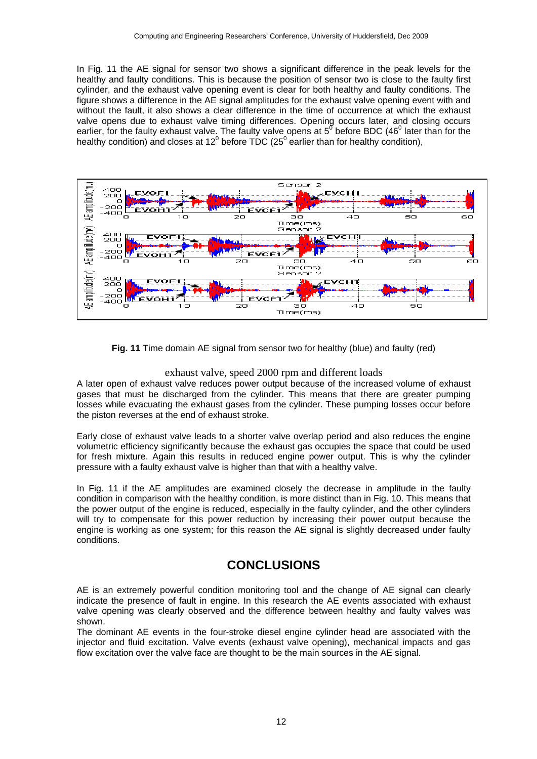In Fig. 11 the AE signal for sensor two shows a significant difference in the peak levels for the healthy and faulty conditions. This is because the position of sensor two is close to the faulty first cylinder, and the exhaust valve opening event is clear for both healthy and faulty conditions. The figure shows a difference in the AE signal amplitudes for the exhaust valve opening event with and without the fault, it also shows a clear difference in the time of occurrence at which the exhaust valve opens due to exhaust valve timing differences. Opening occurs later, and closing occurs earlier, for the faulty exhaust valve. The faulty valve opens at  $5^{\sigma}$  before BDC (46<sup>0</sup> later than for the healthy condition) and closes at 12<sup>0</sup> before TDC (25<sup>0</sup> earlier than for healthy condition),

![](_page_6_Figure_2.jpeg)

**Fig. 11** Time domain AE signal from sensor two for healthy (blue) and faulty (red)

#### exhaust valve, speed 2000 rpm and different loads

A later open of exhaust valve reduces power output because of the increased volume of exhaust gases that must be discharged from the cylinder. This means that there are greater pumping losses while evacuating the exhaust gases from the cylinder. These pumping losses occur before the piston reverses at the end of exhaust stroke.

Early close of exhaust valve leads to a shorter valve overlap period and also reduces the engine volumetric efficiency significantly because the exhaust gas occupies the space that could be used for fresh mixture. Again this results in reduced engine power output. This is why the cylinder pressure with a faulty exhaust valve is higher than that with a healthy valve.

In Fig. 11 if the AE amplitudes are examined closely the decrease in amplitude in the faulty condition in comparison with the healthy condition, is more distinct than in Fig. 10. This means that the power output of the engine is reduced, especially in the faulty cylinder, and the other cylinders will try to compensate for this power reduction by increasing their power output because the engine is working as one system; for this reason the AE signal is slightly decreased under faulty conditions.

# **CONCLUSIONS**

AE is an extremely powerful condition monitoring tool and the change of AE signal can clearly indicate the presence of fault in engine. In this research the AE events associated with exhaust valve opening was clearly observed and the difference between healthy and faulty valves was shown.

The dominant AE events in the four-stroke diesel engine cylinder head are associated with the injector and fluid excitation. Valve events (exhaust valve opening), mechanical impacts and gas flow excitation over the valve face are thought to be the main sources in the AE signal.